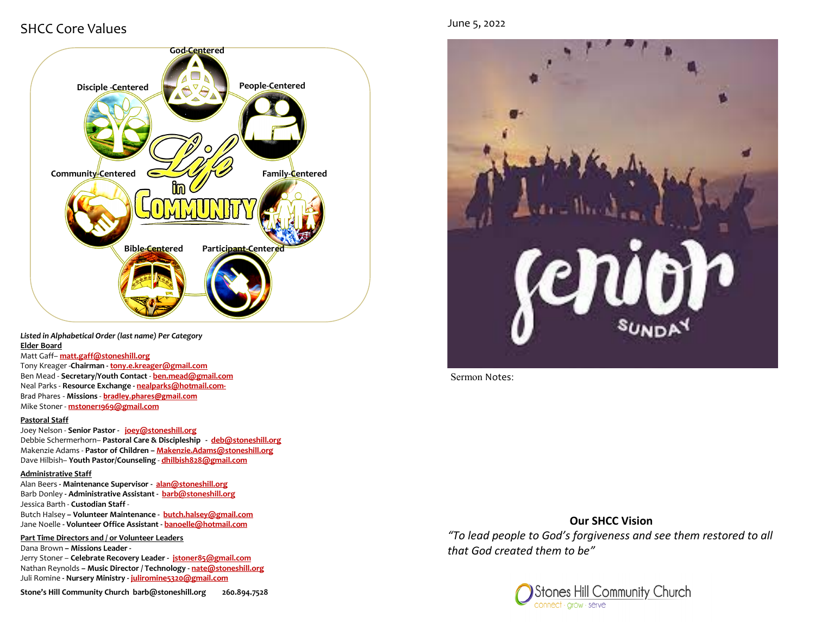# SHCC Core Values



*Listed in Alphabetical Order (last name) Per Category* **Elder Board**

#### Matt Gaff– **matt.gaff@stoneshill.org**

Tony Kreager -**Chairman - [tony.e.kreager@gmail.com](mailto:tony.e.kreager@gmail.com)** Ben Mead - **Secretary/Youth Contact** - **[ben.mead@gmail.com](mailto:ben.mead@gmail.com)** Neal Parks - **Resource Exchange - nealparks@hotmail.com-**Brad Phares - **Missions** - **bradley.phares@gmail.com** Mike Stoner - **mstoner1969@gmail.com**

#### **Pastoral Staff**

Joey Nelson - **Senior Pastor - [joey@stoneshill.org](mailto:joey@stoneshill.org)** Debbie Schermerhorn– **Pastoral Care & Discipleship - [deb@stoneshill.org](mailto:deb@stoneshill.org)** Makenzie Adams - **Pastor of Children – Makenzie.Adams@stoneshill.org** Dave Hilbish– **Youth Pastor/Counseling** - **[dhilbish828@gmail.com](mailto:dhilbish828@gmail.com)**

#### **Administrative Staff**

Alan Beers **- Maintenance Supervisor - [alan@stoneshill.org](mailto:alan@stoneshill.org)** Barb Donley **- Administrative Assistant - [barb@stoneshill.org](mailto:barb@stoneshill.org)** Jessica Barth - **Custodian Staff** - Butch Halsey **– Volunteer Maintenance - butch.halsey@gmail.com** Jane Noelle **- Volunteer Office Assistant - banoelle@hotmail.com**

**Part Time Directors and / or Volunteer Leaders** Dana Brown **– Missions Leader -**  Jerry Stoner – **Celebrate Recovery Leader - jstoner85@gmail.com**

Nathan Reynolds **– Music Director / Technology - [nate@stoneshill.org](mailto:nate@stoneshill.org)** Juli Romine **- Nursery Ministry - juliromine5320@gmail.com**

**Stone's Hill Community Church barb@stoneshill.org 260.894.7528**



Sermon Notes:

## **Our SHCC Vision**

*"To lead people to God's forgiveness and see them restored to all that God created them to be"*